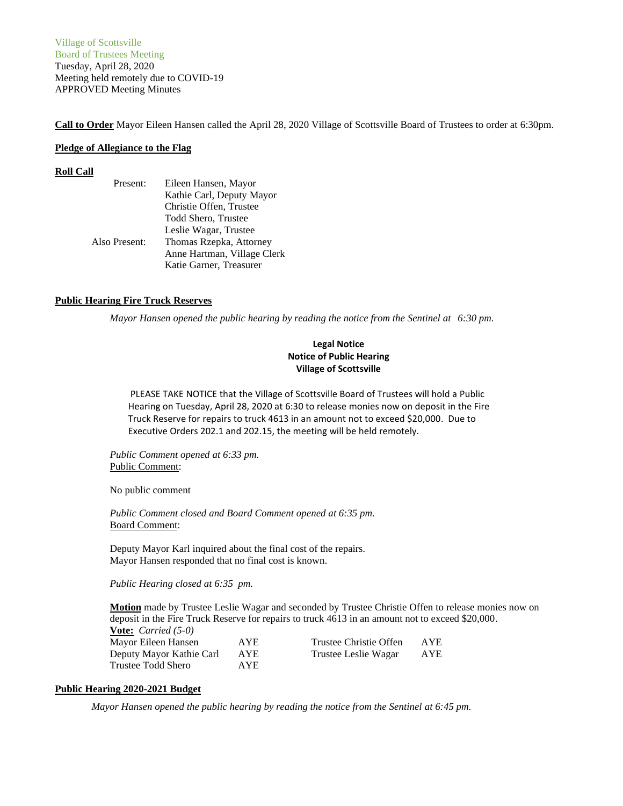Village of Scottsville Board of Trustees Meeting Tuesday, April 28, 2020 Meeting held remotely due to COVID-19 APPROVED Meeting Minutes

**Call to Order** Mayor Eileen Hansen called the April 28, 2020 Village of Scottsville Board of Trustees to order at 6:30pm.

### **Pledge of Allegiance to the Flag**

#### **Roll Call**

| Present:      | Eileen Hansen, Mayor        |
|---------------|-----------------------------|
|               | Kathie Carl, Deputy Mayor   |
|               | Christie Offen, Trustee     |
|               | Todd Shero, Trustee         |
|               | Leslie Wagar, Trustee       |
| Also Present: | Thomas Rzepka, Attorney     |
|               | Anne Hartman, Village Clerk |
|               | Katie Garner, Treasurer     |

### **Public Hearing Fire Truck Reserves**

*Mayor Hansen opened the public hearing by reading the notice from the Sentinel at 6:30 pm.*

# **Legal Notice Notice of Public Hearing Village of Scottsville**

PLEASE TAKE NOTICE that the Village of Scottsville Board of Trustees will hold a Public Hearing on Tuesday, April 28, 2020 at 6:30 to release monies now on deposit in the Fire Truck Reserve for repairs to truck 4613 in an amount not to exceed \$20,000. Due to Executive Orders 202.1 and 202.15, the meeting will be held remotely.

*Public Comment opened at 6:33 pm.* Public Comment:

No public comment

*Public Comment closed and Board Comment opened at 6:35 pm.* Board Comment:

Deputy Mayor Karl inquired about the final cost of the repairs. Mayor Hansen responded that no final cost is known.

*Public Hearing closed at 6:35 pm.*

**Motion** made by Trustee Leslie Wagar and seconded by Trustee Christie Offen to release monies now on deposit in the Fire Truck Reserve for repairs to truck 4613 in an amount not to exceed \$20,000. **Vote:** *Carried (5-0)*

| $\frac{1}{2}$            |      |                        |     |
|--------------------------|------|------------------------|-----|
| Mayor Eileen Hansen      | AYE  | Trustee Christie Offen | AYE |
| Deputy Mayor Kathie Carl | AYE  | Trustee Leslie Wagar   | AYE |
| Trustee Todd Shero       | AYE. |                        |     |

## **Public Hearing 2020-2021 Budget**

*Mayor Hansen opened the public hearing by reading the notice from the Sentinel at 6:45 pm.*